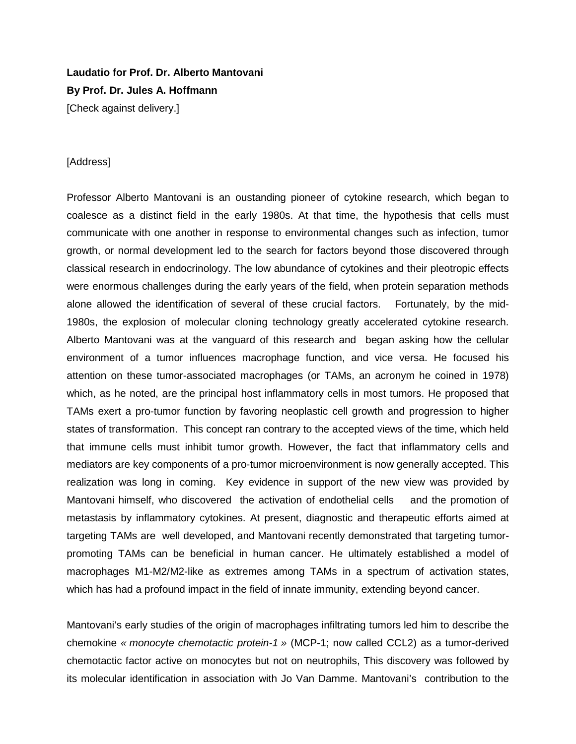## **Laudatio for Prof. Dr. Alberto Mantovani By Prof. Dr. Jules A. Hoffmann**

[Check against delivery.]

## [Address]

Professor Alberto Mantovani is an oustanding pioneer of cytokine research, which began to coalesce as a distinct field in the early 1980s. At that time, the hypothesis that cells must communicate with one another in response to environmental changes such as infection, tumor growth, or normal development led to the search for factors beyond those discovered through classical research in endocrinology. The low abundance of cytokines and their pleotropic effects were enormous challenges during the early years of the field, when protein separation methods alone allowed the identification of several of these crucial factors. Fortunately, by the mid-1980s, the explosion of molecular cloning technology greatly accelerated cytokine research. Alberto Mantovani was at the vanguard of this research and began asking how the cellular environment of a tumor influences macrophage function, and vice versa. He focused his attention on these tumor-associated macrophages (or TAMs, an acronym he coined in 1978) which, as he noted, are the principal host inflammatory cells in most tumors. He proposed that TAMs exert a pro-tumor function by favoring neoplastic cell growth and progression to higher states of transformation. This concept ran contrary to the accepted views of the time, which held that immune cells must inhibit tumor growth. However, the fact that inflammatory cells and mediators are key components of a pro-tumor microenvironment is now generally accepted. This realization was long in coming. Key evidence in support of the new view was provided by Mantovani himself, who discovered the activation of endothelial cells and the promotion of metastasis by inflammatory cytokines. At present, diagnostic and therapeutic efforts aimed at targeting TAMs are well developed, and Mantovani recently demonstrated that targeting tumorpromoting TAMs can be beneficial in human cancer. He ultimately established a model of macrophages M1-M2/M2-like as extremes among TAMs in a spectrum of activation states, which has had a profound impact in the field of innate immunity, extending beyond cancer.

Mantovani's early studies of the origin of macrophages infiltrating tumors led him to describe the chemokine *« monocyte chemotactic protein-1 »* (MCP-1; now called CCL2) as a tumor-derived chemotactic factor active on monocytes but not on neutrophils, This discovery was followed by its molecular identification in association with Jo Van Damme. Mantovani's contribution to the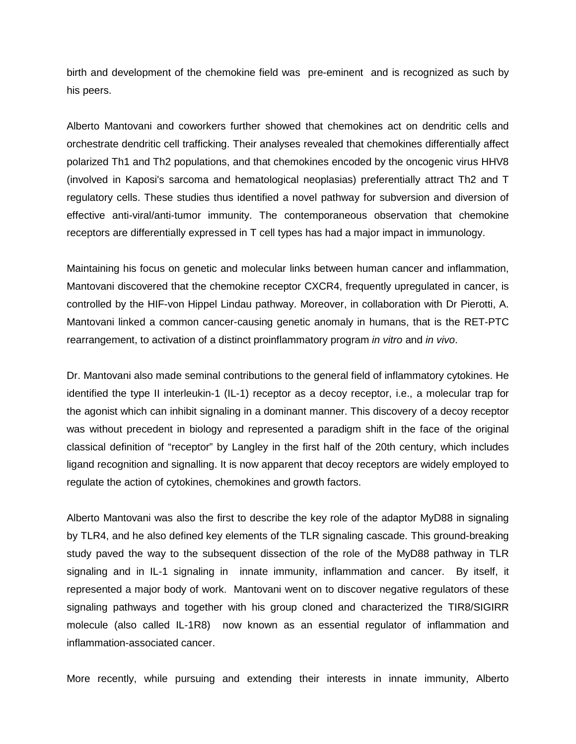birth and development of the chemokine field was pre-eminent and is recognized as such by his peers.

Alberto Mantovani and coworkers further showed that chemokines act on dendritic cells and orchestrate dendritic cell trafficking. Their analyses revealed that chemokines differentially affect polarized Th1 and Th2 populations, and that chemokines encoded by the oncogenic virus HHV8 (involved in Kaposi's sarcoma and hematological neoplasias) preferentially attract Th2 and T regulatory cells. These studies thus identified a novel pathway for subversion and diversion of effective anti-viral/anti-tumor immunity. The contemporaneous observation that chemokine receptors are differentially expressed in T cell types has had a major impact in immunology.

Maintaining his focus on genetic and molecular links between human cancer and inflammation, Mantovani discovered that the chemokine receptor CXCR4, frequently upregulated in cancer, is controlled by the HIF-von Hippel Lindau pathway. Moreover, in collaboration with Dr Pierotti, A. Mantovani linked a common cancer-causing genetic anomaly in humans, that is the RET-PTC rearrangement, to activation of a distinct proinflammatory program *in vitro* and *in vivo*.

Dr. Mantovani also made seminal contributions to the general field of inflammatory cytokines. He identified the type II interleukin-1 (IL-1) receptor as a decoy receptor, i.e., a molecular trap for the agonist which can inhibit signaling in a dominant manner. This discovery of a decoy receptor was without precedent in biology and represented a paradigm shift in the face of the original classical definition of "receptor" by Langley in the first half of the 20th century, which includes ligand recognition and signalling. It is now apparent that decoy receptors are widely employed to regulate the action of cytokines, chemokines and growth factors.

Alberto Mantovani was also the first to describe the key role of the adaptor MyD88 in signaling by TLR4, and he also defined key elements of the TLR signaling cascade. This ground-breaking study paved the way to the subsequent dissection of the role of the MyD88 pathway in TLR signaling and in IL-1 signaling in innate immunity, inflammation and cancer. By itself, it represented a major body of work. Mantovani went on to discover negative regulators of these signaling pathways and together with his group cloned and characterized the TIR8/SIGIRR molecule (also called IL-1R8) now known as an essential regulator of inflammation and inflammation-associated cancer.

More recently, while pursuing and extending their interests in innate immunity, Alberto